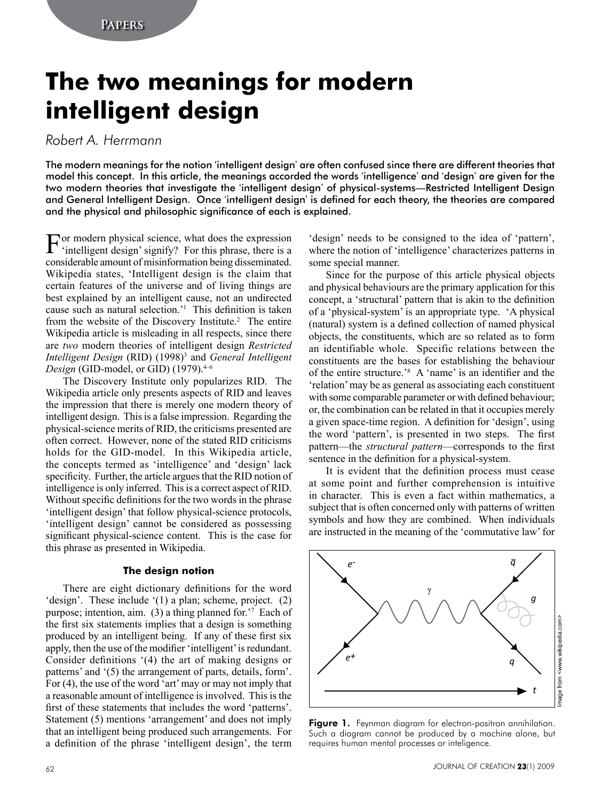# **The two meanings for modern intelligent design**

# *Robert A. Herrmann*

The modern meanings for the notion 'intelligent design' are often confused since there are different theories that model this concept. In this article, the meanings accorded the words 'intelligence' and 'design' are given for the two modern theories that investigate the 'intelligent design' of physical-systems—Restricted Intelligent Design and General Intelligent Design. Once 'intelligent design' is defined for each theory, the theories are compared and the physical and philosophic significance of each is explained.

For modern physical science, what does the expression 'intelligent design' signify? For this phrase, there is a considerable amount of misinformation being disseminated. Wikipedia states, 'Intelligent design is the claim that certain features of the universe and of living things are best explained by an intelligent cause, not an undirected cause such as natural selection.'1 This definition is taken from the website of the Discovery Institute.<sup>2</sup> The entire Wikipedia article is misleading in all respects, since there are *two* modern theories of intelligent design *Restricted Intelligent Design* (RID) (1998)<sup>3</sup> and *General Intelligent Design* (GID-model, or GID) (1979).<sup>4-6</sup>

The Discovery Institute only popularizes RID. The Wikipedia article only presents aspects of RID and leaves the impression that there is merely one modern theory of intelligent design. This is a false impression. Regarding the physical-science merits of RID, the criticisms presented are often correct. However, none of the stated RID criticisms holds for the GID-model. In this Wikipedia article, the concepts termed as 'intelligence' and 'design' lack specificity. Further, the article argues that the RID notion of intelligence is only inferred. This is a correct aspect of RID. Without specific definitions for the two words in the phrase 'intelligent design' that follow physical-science protocols, 'intelligent design' cannot be considered as possessing significant physical-science content. This is the case for this phrase as presented in Wikipedia.

#### **The design notion**

There are eight dictionary definitions for the word 'design'. These include '(1) a plan; scheme, project. (2) purpose; intention, aim. (3) a thing planned for.'7 Each of the first six statements implies that a design is something produced by an intelligent being. If any of these first six apply, then the use of the modifier 'intelligent' is redundant. Consider definitions '(4) the art of making designs or patterns' and '(5) the arrangement of parts, details, form'. For (4), the use of the word 'art' may or may not imply that a reasonable amount of intelligence is involved. This is the first of these statements that includes the word 'patterns'. Statement (5) mentions 'arrangement' and does not imply that an intelligent being produced such arrangements. For a definition of the phrase 'intelligent design', the term

'design' needs to be consigned to the idea of 'pattern', where the notion of 'intelligence' characterizes patterns in some special manner.

Since for the purpose of this article physical objects and physical behaviours are the primary application for this concept, a 'structural' pattern that is akin to the definition of a 'physical-system' is an appropriate type. 'A physical (natural) system is a defined collection of named physical objects, the constituents, which are so related as to form an identifiable whole. Specific relations between the constituents are the bases for establishing the behaviour of the entire structure.'8 A 'name' is an identifier and the 'relation' may be as general as associating each constituent with some comparable parameter or with defined behaviour; or, the combination can be related in that it occupies merely a given space-time region. A definition for 'design', using the word 'pattern', is presented in two steps. The first pattern—the *structural pattern*—corresponds to the first sentence in the definition for a physical-system.

It is evident that the definition process must cease at some point and further comprehension is intuitive in character. This is even a fact within mathematics, a subject that is often concerned only with patterns of written symbols and how they are combined. When individuals are instructed in the meaning of the 'commutative law' for



Figure 1. Feynman diagram for electron-positron annihilation. Such a diagram cannot be produced by a machine alone, but requires human mental processes or inteligence.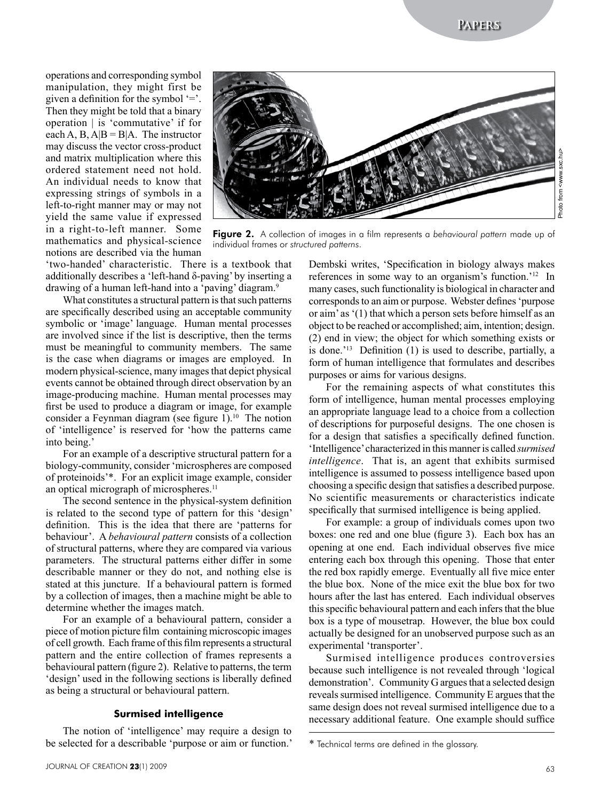**Papers**

Photo from <www.sxc.hu> <www.sxc.hu> from -Photo 1

operations and corresponding symbol manipulation, they might first be given a definition for the symbol  $=$ . Then they might be told that a binary operation | is 'commutative' if for each A, B,  $A|B = B|A$ . The instructor may discuss the vector cross-product and matrix multiplication where this ordered statement need not hold. An individual needs to know that expressing strings of symbols in a left-to-right manner may or may not yield the same value if expressed in a right-to-left manner. Some mathematics and physical-science notions are described via the human



Figure 2. A collection of images in a film represents a *behavioural pattern* made up of individual frames or *structured patterns*.

'two-handed' characteristic. There is a textbook that additionally describes a 'left-hand δ-paving' by inserting a drawing of a human left-hand into a 'paving' diagram.9

What constitutes a structural pattern is that such patterns are specifically described using an acceptable community symbolic or 'image' language. Human mental processes are involved since if the list is descriptive, then the terms must be meaningful to community members. The same is the case when diagrams or images are employed. In modern physical-science, many images that depict physical events cannot be obtained through direct observation by an image-producing machine. Human mental processes may first be used to produce a diagram or image, for example consider a Feynman diagram (see figure 1).<sup>10</sup> The notion of 'intelligence' is reserved for 'how the patterns came into being.'

For an example of a descriptive structural pattern for a biology-community, consider 'microspheres are composed of proteinoids'\*. For an explicit image example, consider an optical micrograph of microspheres.<sup>11</sup>

The second sentence in the physical-system definition is related to the second type of pattern for this 'design' definition. This is the idea that there are 'patterns for behaviour'. A *behavioural pattern* consists of a collection of structural patterns, where they are compared via various parameters. The structural patterns either differ in some describable manner or they do not, and nothing else is stated at this juncture. If a behavioural pattern is formed by a collection of images, then a machine might be able to determine whether the images match.

For an example of a behavioural pattern, consider a piece of motion picture film containing microscopic images of cell growth. Each frame of this film represents a structural pattern and the entire collection of frames represents a behavioural pattern (figure 2). Relative to patterns, the term 'design' used in the following sections is liberally defined as being a structural or behavioural pattern.

#### **Surmised intelligence**

The notion of 'intelligence' may require a design to be selected for a describable 'purpose or aim or function.'

Dembski writes, 'Specification in biology always makes references in some way to an organism's function.'12 In many cases, such functionality is biological in character and corresponds to an aim or purpose. Webster defines 'purpose or aim' as '(1) that which a person sets before himself as an object to be reached or accomplished; aim, intention; design. (2) end in view; the object for which something exists or is done.'13 Definition (1) is used to describe, partially, a form of human intelligence that formulates and describes purposes or aims for various designs.

For the remaining aspects of what constitutes this form of intelligence, human mental processes employing an appropriate language lead to a choice from a collection of descriptions for purposeful designs. The one chosen is for a design that satisfies a specifically defined function. 'Intelligence' characterized in this manner is called *surmised intelligence*. That is, an agent that exhibits surmised intelligence is assumed to possess intelligence based upon choosing a specific design that satisfies a described purpose. No scientific measurements or characteristics indicate specifically that surmised intelligence is being applied.

For example: a group of individuals comes upon two boxes: one red and one blue (figure 3). Each box has an opening at one end. Each individual observes five mice entering each box through this opening. Those that enter the red box rapidly emerge. Eventually all five mice enter the blue box. None of the mice exit the blue box for two hours after the last has entered. Each individual observes this specific behavioural pattern and each infers that the blue box is a type of mousetrap. However, the blue box could actually be designed for an unobserved purpose such as an experimental 'transporter'.

Surmised intelligence produces controversies because such intelligence is not revealed through 'logical demonstration'. Community G argues that a selected design reveals surmised intelligence. Community E argues that the same design does not reveal surmised intelligence due to a necessary additional feature. One example should suffice

<sup>\*</sup> Technical terms are defined in the glossary.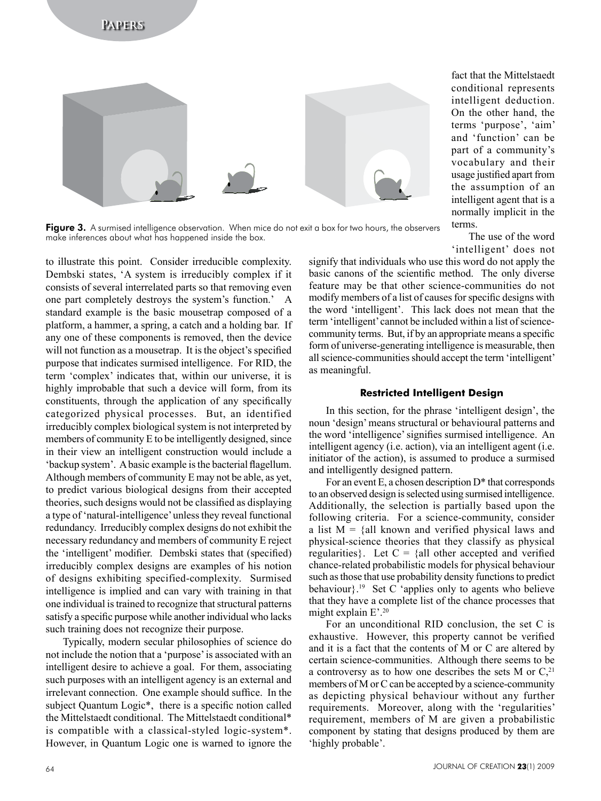

Figure 3. A surmised intelligence observation. When mice do not exit a box for two hours, the observers make inferences about what has happened inside the box.

to illustrate this point. Consider irreducible complexity. Dembski states, 'A system is irreducibly complex if it consists of several interrelated parts so that removing even one part completely destroys the system's function.' A standard example is the basic mousetrap composed of a platform, a hammer, a spring, a catch and a holding bar. If any one of these components is removed, then the device will not function as a mouse trap. It is the object's specified purpose that indicates surmised intelligence. For RID, the term 'complex' indicates that, within our universe, it is highly improbable that such a device will form, from its constituents, through the application of any specifically categorized physical processes. But, an identified irreducibly complex biological system is not interpreted by members of community E to be intelligently designed, since in their view an intelligent construction would include a 'backup system'. A basic example is the bacterial flagellum. Although members of community E may not be able, as yet, to predict various biological designs from their accepted theories, such designs would not be classified as displaying a type of 'natural-intelligence' unless they reveal functional redundancy. Irreducibly complex designs do not exhibit the necessary redundancy and members of community E reject the 'intelligent' modifier. Dembski states that (specified) irreducibly complex designs are examples of his notion of designs exhibiting specified-complexity. Surmised intelligence is implied and can vary with training in that one individual is trained to recognize that structural patterns satisfy a specific purpose while another individual who lacks such training does not recognize their purpose.

Typically, modern secular philosophies of science do not include the notion that a 'purpose' is associated with an intelligent desire to achieve a goal. For them, associating such purposes with an intelligent agency is an external and irrelevant connection. One example should suffice. In the subject Quantum Logic\*, there is a specific notion called the Mittelstaedt conditional. The Mittelstaedt conditional\* is compatible with a classical-styled logic-system\*. However, in Quantum Logic one is warned to ignore the

fact that the Mittelstaedt conditional represents intelligent deduction. On the other hand, the terms 'purpose', 'aim' and 'function' can be part of a community's vocabulary and their usage justified apart from the assumption of an intelligent agent that is a normally implicit in the terms.

The use of the word 'intelligent' does not

signify that individuals who use this word do not apply the basic canons of the scientific method. The only diverse feature may be that other science-communities do not modify members of a list of causes for specific designs with the word 'intelligent'. This lack does not mean that the term 'intelligent' cannot be included within a list of sciencecommunity terms. But, if by an appropriate means a specific form of universe-generating intelligence is measurable, then all science-communities should accept the term 'intelligent' as meaningful.

#### **Restricted Intelligent Design**

In this section, for the phrase 'intelligent design', the noun 'design' means structural or behavioural patterns and the word 'intelligence' signifies surmised intelligence. An intelligent agency (i.e. action), via an intelligent agent (i.e. initiator of the action), is assumed to produce a surmised and intelligently designed pattern.

For an event E, a chosen description  $D^*$  that corresponds to an observed design is selected using surmised intelligence. Additionally, the selection is partially based upon the following criteria. For a science-community, consider a list  $M = \{all known and verified physical laws and$ physical-science theories that they classify as physical regularities}. Let  $C = \{all other accepted and verified$ chance-related probabilistic models for physical behaviour such as those that use probability density functions to predict behaviour}.19 Set C 'applies only to agents who believe that they have a complete list of the chance processes that might explain E'.20

For an unconditional RID conclusion, the set C is exhaustive. However, this property cannot be verified and it is a fact that the contents of M or C are altered by certain science-communities. Although there seems to be a controversy as to how one describes the sets M or  $C<sub>1</sub><sup>21</sup>$ members of M or C can be accepted by a science-community as depicting physical behaviour without any further requirements. Moreover, along with the 'regularities' requirement, members of M are given a probabilistic component by stating that designs produced by them are 'highly probable'.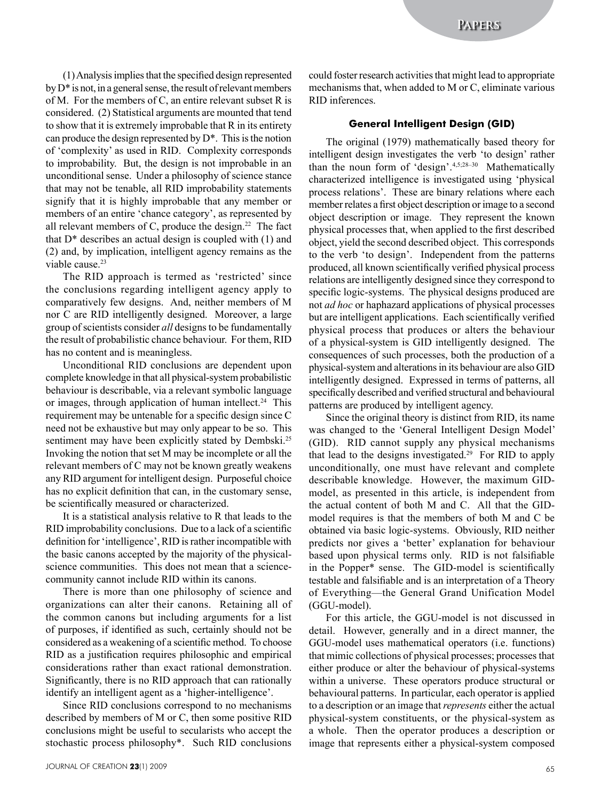(1) Analysis implies that the specified design represented by D\* is not, in a general sense, the result of relevant members of M. For the members of C, an entire relevant subset R is considered. (2) Statistical arguments are mounted that tend to show that it is extremely improbable that R in its entirety can produce the design represented by D\*. This is the notion of 'complexity' as used in RID. Complexity corresponds to improbability. But, the design is not improbable in an unconditional sense. Under a philosophy of science stance that may not be tenable, all RID improbability statements signify that it is highly improbable that any member or members of an entire 'chance category', as represented by all relevant members of C, produce the design.<sup>22</sup> The fact that  $D^*$  describes an actual design is coupled with  $(1)$  and (2) and, by implication, intelligent agency remains as the viable cause.<sup>23</sup>

The RID approach is termed as 'restricted' since the conclusions regarding intelligent agency apply to comparatively few designs. And, neither members of M nor C are RID intelligently designed. Moreover, a large group of scientists consider *all* designs to be fundamentally the result of probabilistic chance behaviour. For them, RID has no content and is meaningless.

Unconditional RID conclusions are dependent upon complete knowledge in that all physical-system probabilistic behaviour is describable, via a relevant symbolic language or images, through application of human intellect.<sup>24</sup> This requirement may be untenable for a specific design since C need not be exhaustive but may only appear to be so. This sentiment may have been explicitly stated by Dembski.<sup>25</sup> Invoking the notion that set M may be incomplete or all the relevant members of C may not be known greatly weakens any RID argument for intelligent design. Purposeful choice has no explicit definition that can, in the customary sense, be scientifically measured or characterized.

It is a statistical analysis relative to R that leads to the RID improbability conclusions. Due to a lack of a scientific definition for 'intelligence', RID is rather incompatible with the basic canons accepted by the majority of the physicalscience communities. This does not mean that a sciencecommunity cannot include RID within its canons.

There is more than one philosophy of science and organizations can alter their canons. Retaining all of the common canons but including arguments for a list of purposes, if identified as such, certainly should not be considered as a weakening of a scientific method. To choose RID as a justification requires philosophic and empirical considerations rather than exact rational demonstration. Significantly, there is no RID approach that can rationally identify an intelligent agent as a 'higher-intelligence'.

Since RID conclusions correspond to no mechanisms described by members of M or C, then some positive RID conclusions might be useful to secularists who accept the stochastic process philosophy\*. Such RID conclusions could foster research activities that might lead to appropriate mechanisms that, when added to M or C, eliminate various RID inferences.

## **General Intelligent Design (GID)**

The original (1979) mathematically based theory for intelligent design investigates the verb 'to design' rather than the noun form of 'design'.4,5;28–30 Mathematically characterized intelligence is investigated using 'physical process relations'. These are binary relations where each member relates a first object description or image to a second object description or image. They represent the known physical processes that, when applied to the first described object, yield the second described object. This corresponds to the verb 'to design'. Independent from the patterns produced, all known scientifically verified physical process relations are intelligently designed since they correspond to specific logic-systems. The physical designs produced are not *ad hoc* or haphazard applications of physical processes but are intelligent applications. Each scientifically verified physical process that produces or alters the behaviour of a physical-system is GID intelligently designed. The consequences of such processes, both the production of a physical-system and alterations in its behaviour are also GID intelligently designed. Expressed in terms of patterns, all specifically described and verified structural and behavioural patterns are produced by intelligent agency.

Since the original theory is distinct from RID, its name was changed to the 'General Intelligent Design Model' (GID). RID cannot supply any physical mechanisms that lead to the designs investigated.29 For RID to apply unconditionally, one must have relevant and complete describable knowledge. However, the maximum GIDmodel, as presented in this article, is independent from the actual content of both M and C. All that the GIDmodel requires is that the members of both M and C be obtained via basic logic-systems. Obviously, RID neither predicts nor gives a 'better' explanation for behaviour based upon physical terms only. RID is not falsifiable in the Popper\* sense. The GID-model is scientifically testable and falsifiable and is an interpretation of a Theory of Everything—the General Grand Unification Model (GGU-model).

For this article, the GGU-model is not discussed in detail. However, generally and in a direct manner, the GGU-model uses mathematical operators (i.e. functions) that mimic collections of physical processes; processes that either produce or alter the behaviour of physical-systems within a universe. These operators produce structural or behavioural patterns. In particular, each operator is applied to a description or an image that *represents* either the actual physical-system constituents, or the physical-system as a whole. Then the operator produces a description or image that represents either a physical-system composed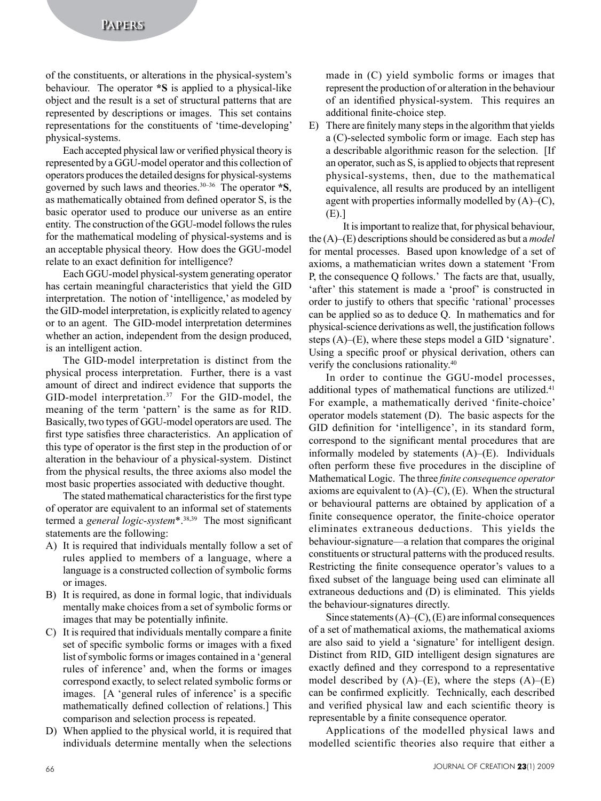of the constituents, or alterations in the physical-system's behaviour. The operator **\*S** is applied to a physical-like object and the result is a set of structural patterns that are represented by descriptions or images. This set contains representations for the constituents of 'time-developing' physical-systems.

Each accepted physical law or verified physical theory is represented by a GGU-model operator and this collection of operators produces the detailed designs for physical-systems governed by such laws and theories.30–36 The operator **\*S**, as mathematically obtained from defined operator S, is the basic operator used to produce our universe as an entire entity. The construction of the GGU-model follows the rules for the mathematical modeling of physical-systems and is an acceptable physical theory. How does the GGU-model relate to an exact definition for intelligence?

Each GGU-model physical-system generating operator has certain meaningful characteristics that yield the GID interpretation. The notion of 'intelligence,' as modeled by the GID-model interpretation, is explicitly related to agency or to an agent. The GID-model interpretation determines whether an action, independent from the design produced, is an intelligent action.

The GID-model interpretation is distinct from the physical process interpretation. Further, there is a vast amount of direct and indirect evidence that supports the GID-model interpretation.<sup>37</sup> For the GID-model, the meaning of the term 'pattern' is the same as for RID. Basically, two types of GGU-model operators are used. The first type satisfies three characteristics. An application of this type of operator is the first step in the production of or alteration in the behaviour of a physical-system. Distinct from the physical results, the three axioms also model the most basic properties associated with deductive thought.

The stated mathematical characteristics for the first type of operator are equivalent to an informal set of statements termed a *general logic-system*\*.38,39 The most significant statements are the following:

- A) It is required that individuals mentally follow a set of rules applied to members of a language, where a language is a constructed collection of symbolic forms or images.
- B) It is required, as done in formal logic, that individuals mentally make choices from a set of symbolic forms or images that may be potentially infinite.
- C) It is required that individuals mentally compare a finite set of specific symbolic forms or images with a fixed list of symbolic forms or images contained in a 'general rules of inference' and, when the forms or images correspond exactly, to select related symbolic forms or images. [A 'general rules of inference' is a specific mathematically defined collection of relations.] This comparison and selection process is repeated.
- D) When applied to the physical world, it is required that individuals determine mentally when the selections

made in (C) yield symbolic forms or images that represent the production of or alteration in the behaviour of an identified physical-system. This requires an additional finite-choice step.

E) There are finitely many steps in the algorithm that yields a (C)-selected symbolic form or image. Each step has a describable algorithmic reason for the selection. [If an operator, such as S, is applied to objects that represent physical-systems, then, due to the mathematical equivalence, all results are produced by an intelligent agent with properties informally modelled by  $(A)$ – $(C)$ , (E).]

It is important to realize that, for physical behaviour, the (A)–(E) descriptions should be considered as but a *model* for mental processes. Based upon knowledge of a set of axioms, a mathematician writes down a statement 'From P, the consequence Q follows.' The facts are that, usually, 'after' this statement is made a 'proof' is constructed in order to justify to others that specific 'rational' processes can be applied so as to deduce Q. In mathematics and for physical-science derivations as well, the justification follows steps (A)–(E), where these steps model a GID 'signature'. Using a specific proof or physical derivation, others can verify the conclusions rationality.40

In order to continue the GGU-model processes, additional types of mathematical functions are utilized.<sup>41</sup> For example, a mathematically derived 'finite-choice' operator models statement (D). The basic aspects for the GID definition for 'intelligence', in its standard form, correspond to the significant mental procedures that are informally modeled by statements (A)–(E). Individuals often perform these five procedures in the discipline of Mathematical Logic. The three *finite consequence operator* axioms are equivalent to  $(A)$ – $(C)$ ,  $(E)$ . When the structural or behavioural patterns are obtained by application of a finite consequence operator, the finite-choice operator eliminates extraneous deductions. This yields the behaviour-signature—a relation that compares the original constituents or structural patterns with the produced results. Restricting the finite consequence operator's values to a fixed subset of the language being used can eliminate all extraneous deductions and (D) is eliminated. This yields the behaviour-signatures directly.

Since statements  $(A)$ – $(C)$ ,  $(E)$  are informal consequences of a set of mathematical axioms, the mathematical axioms are also said to yield a 'signature' for intelligent design. Distinct from RID, GID intelligent design signatures are exactly defined and they correspond to a representative model described by  $(A)$ – $(E)$ , where the steps  $(A)$ – $(E)$ can be confirmed explicitly. Technically, each described and verified physical law and each scientific theory is representable by a finite consequence operator.

Applications of the modelled physical laws and modelled scientific theories also require that either a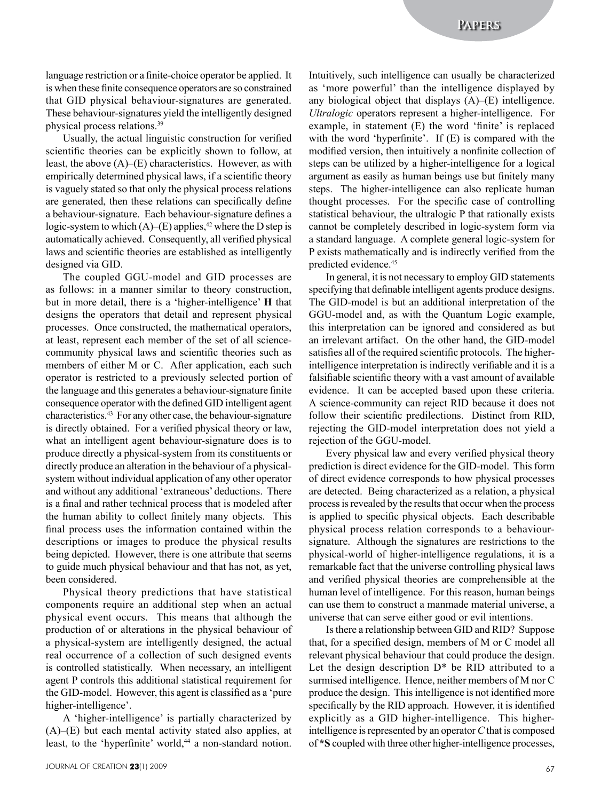language restriction or a finite-choice operator be applied. It is when these finite consequence operators are so constrained that GID physical behaviour-signatures are generated. These behaviour-signatures yield the intelligently designed physical process relations.39

Usually, the actual linguistic construction for verified scientific theories can be explicitly shown to follow, at least, the above  $(A)$ – $(E)$  characteristics. However, as with empirically determined physical laws, if a scientific theory is vaguely stated so that only the physical process relations are generated, then these relations can specifically define a behaviour-signature. Each behaviour-signature defines a logic-system to which  $(A)$ – $(E)$  applies,<sup>42</sup> where the D step is automatically achieved. Consequently, all verified physical laws and scientific theories are established as intelligently designed via GID.

The coupled GGU-model and GID processes are as follows: in a manner similar to theory construction, but in more detail, there is a 'higher-intelligence' **H** that designs the operators that detail and represent physical processes. Once constructed, the mathematical operators, at least, represent each member of the set of all sciencecommunity physical laws and scientific theories such as members of either M or C. After application, each such operator is restricted to a previously selected portion of the language and this generates a behaviour-signature finite consequence operator with the defined GID intelligent agent characteristics.43 For any other case, the behaviour-signature is directly obtained. For a verified physical theory or law, what an intelligent agent behaviour-signature does is to produce directly a physical-system from its constituents or directly produce an alteration in the behaviour of a physicalsystem without individual application of any other operator and without any additional 'extraneous' deductions. There is a final and rather technical process that is modeled after the human ability to collect finitely many objects. This final process uses the information contained within the descriptions or images to produce the physical results being depicted. However, there is one attribute that seems to guide much physical behaviour and that has not, as yet, been considered.

Physical theory predictions that have statistical components require an additional step when an actual physical event occurs. This means that although the production of or alterations in the physical behaviour of a physical-system are intelligently designed, the actual real occurrence of a collection of such designed events is controlled statistically. When necessary, an intelligent agent P controls this additional statistical requirement for the GID-model. However, this agent is classified as a 'pure higher-intelligence'.

A 'higher-intelligence' is partially characterized by (A)–(E) but each mental activity stated also applies, at least, to the 'hyperfinite' world,<sup>44</sup> a non-standard notion. Intuitively, such intelligence can usually be characterized as 'more powerful' than the intelligence displayed by any biological object that displays (A)–(E) intelligence. *Ultralogic* operators represent a higher-intelligence. For example, in statement (E) the word 'finite' is replaced with the word 'hyperfinite'. If (E) is compared with the modified version, then intuitively a nonfinite collection of steps can be utilized by a higher-intelligence for a logical argument as easily as human beings use but finitely many steps. The higher-intelligence can also replicate human thought processes. For the specific case of controlling statistical behaviour, the ultralogic P that rationally exists cannot be completely described in logic-system form via a standard language. A complete general logic-system for P exists mathematically and is indirectly verified from the predicted evidence.45

In general, it is not necessary to employ GID statements specifying that definable intelligent agents produce designs. The GID-model is but an additional interpretation of the GGU-model and, as with the Quantum Logic example, this interpretation can be ignored and considered as but an irrelevant artifact. On the other hand, the GID-model satisfies all of the required scientific protocols. The higherintelligence interpretation is indirectly verifiable and it is a falsifiable scientific theory with a vast amount of available evidence. It can be accepted based upon these criteria. A science-community can reject RID because it does not follow their scientific predilections. Distinct from RID, rejecting the GID-model interpretation does not yield a rejection of the GGU-model.

Every physical law and every verified physical theory prediction is direct evidence for the GID-model. This form of direct evidence corresponds to how physical processes are detected. Being characterized as a relation, a physical process is revealed by the results that occur when the process is applied to specific physical objects. Each describable physical process relation corresponds to a behavioursignature. Although the signatures are restrictions to the physical-world of higher-intelligence regulations, it is a remarkable fact that the universe controlling physical laws and verified physical theories are comprehensible at the human level of intelligence. For this reason, human beings can use them to construct a manmade material universe, a universe that can serve either good or evil intentions.

Is there a relationship between GID and RID? Suppose that, for a specified design, members of M or C model all relevant physical behaviour that could produce the design. Let the design description D\* be RID attributed to a surmised intelligence. Hence, neither members of M nor C produce the design. This intelligence is not identified more specifically by the RID approach. However, it is identified explicitly as a GID higher-intelligence. This higherintelligence is represented by an operator *C* that is composed of **\*S** coupled with three other higher-intelligence processes,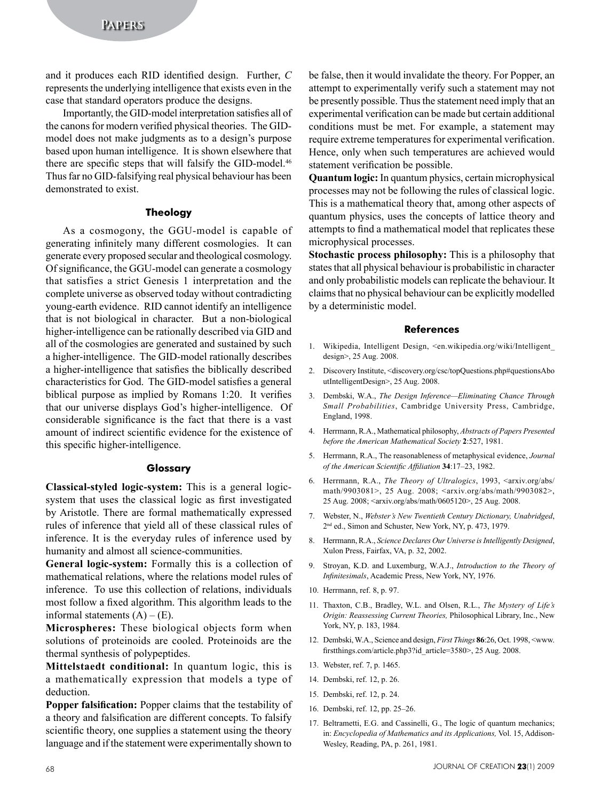and it produces each RID identified design. Further, *C* represents the underlying intelligence that exists even in the case that standard operators produce the designs.

Importantly, the GID-model interpretation satisfies all of the canons for modern verified physical theories. The GIDmodel does not make judgments as to a design's purpose based upon human intelligence. It is shown elsewhere that there are specific steps that will falsify the GID-model.<sup>46</sup> Thus far no GID-falsifying real physical behaviour has been demonstrated to exist.

## **Theology**

As a cosmogony, the GGU-model is capable of generating infinitely many different cosmologies. It can generate every proposed secular and theological cosmology. Of significance, the GGU-model can generate a cosmology that satisfies a strict Genesis 1 interpretation and the complete universe as observed today without contradicting young-earth evidence. RID cannot identify an intelligence that is not biological in character. But a non-biological higher-intelligence can be rationally described via GID and all of the cosmologies are generated and sustained by such a higher-intelligence. The GID-model rationally describes a higher-intelligence that satisfies the biblically described characteristics for God. The GID-model satisfies a general biblical purpose as implied by Romans 1:20. It verifies that our universe displays God's higher-intelligence. Of considerable significance is the fact that there is a vast amount of indirect scientific evidence for the existence of this specific higher-intelligence.

#### **Glossary**

**Classical-styled logic-system:** This is a general logicsystem that uses the classical logic as first investigated by Aristotle. There are formal mathematically expressed rules of inference that yield all of these classical rules of inference. It is the everyday rules of inference used by humanity and almost all science-communities.

**General logic-system:** Formally this is a collection of mathematical relations, where the relations model rules of inference. To use this collection of relations, individuals most follow a fixed algorithm. This algorithm leads to the informal statements  $(A) - (E)$ .

**Microspheres:** These biological objects form when solutions of proteinoids are cooled. Proteinoids are the thermal synthesis of polypeptides.

**Mittelstaedt conditional:** In quantum logic, this is a mathematically expression that models a type of deduction.

**Popper falsification:** Popper claims that the testability of a theory and falsification are different concepts. To falsify scientific theory, one supplies a statement using the theory language and if the statement were experimentally shown to

be false, then it would invalidate the theory. For Popper, an attempt to experimentally verify such a statement may not be presently possible. Thus the statement need imply that an experimental verification can be made but certain additional conditions must be met. For example, a statement may require extreme temperatures for experimental verification. Hence, only when such temperatures are achieved would statement verification be possible.

**Quantum logic:** In quantum physics, certain microphysical processes may not be following the rules of classical logic. This is a mathematical theory that, among other aspects of quantum physics, uses the concepts of lattice theory and attempts to find a mathematical model that replicates these microphysical processes.

**Stochastic process philosophy:** This is a philosophy that states that all physical behaviour is probabilistic in character and only probabilistic models can replicate the behaviour. It claims that no physical behaviour can be explicitly modelled by a deterministic model.

#### **References**

- 1. Wikipedia, Intelligent Design, <en.wikipedia.org/wiki/Intelligent\_ design>, 25 Aug. 2008.
- 2. Discovery Institute, <discovery.org/csc/topQuestions.php#questionsAbo utIntelligentDesign>, 25 Aug. 2008.
- 3. Dembski, W.A., *The Design Inference—Eliminating Chance Through Small Probabilities*, Cambridge University Press, Cambridge, England, 1998.
- 4. Herrmann, R.A., Mathematical philosophy, *Abstracts of Papers Presented before the American Mathematical Society* **2**:527, 1981.
- 5. Herrmann, R.A., The reasonableness of metaphysical evidence, *Journal of the American Scientific Affiliation* **34**:17–23, 1982.
- 6. Herrmann, R.A., *The Theory of Ultralogics*, 1993, <arxiv.org/abs/ math/9903081>, 25 Aug. 2008; <arxiv.org/abs/math/9903082>, 25 Aug. 2008; <arxiv.org/abs/math/0605120>, 25 Aug. 2008.
- 7. Webster, N., *Webster's New Twentieth Century Dictionary, Unabridged*, 2nd ed., Simon and Schuster, New York, NY, p. 473, 1979.
- 8. Herrmann, R.A., *Science Declares Our Universe is Intelligently Designed*, Xulon Press, Fairfax, VA, p. 32, 2002.
- 9. Stroyan, K.D. and Luxemburg, W.A.J., *Introduction to the Theory of Infinitesimals*, Academic Press, New York, NY, 1976.
- 10. Herrmann, ref. 8, p. 97.
- 11. Thaxton, C.B., Bradley, W.L. and Olsen, R.L., *The Mystery of Life's Origin: Reassessing Current Theories,* Philosophical Library, Inc., New York, NY, p. 183, 1984.
- 12. Dembski, W.A., Science and design, *First Things* **86**:26, Oct. 1998, <www. firstthings.com/article.php3?id\_article=3580>, 25 Aug. 2008.
- 13. Webster, ref. 7, p. 1465.
- 14. Dembski, ref. 12, p. 26.
- 15. Dembski, ref. 12, p. 24.
- 16. Dembski, ref. 12, pp. 25–26.
- 17. Beltrametti, E.G. and Cassinelli, G., The logic of quantum mechanics; in: *Encyclopedia of Mathematics and its Applications,* Vol. 15, Addison-Wesley, Reading, PA, p. 261, 1981.